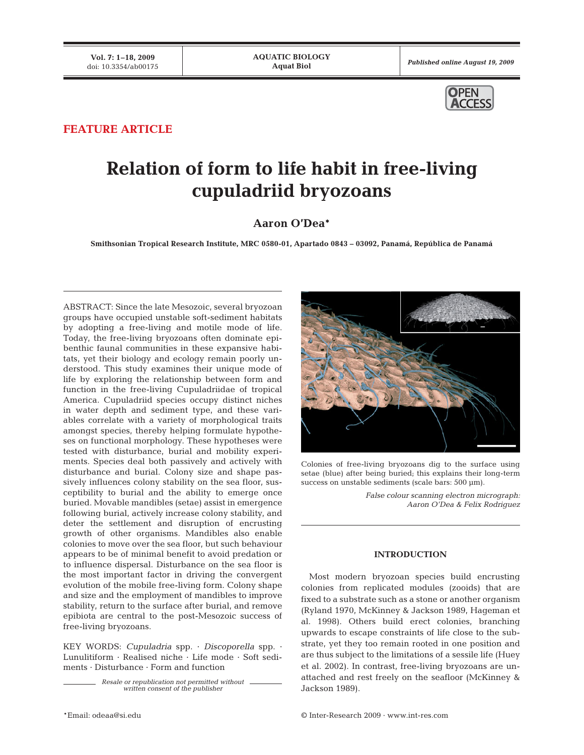

# **FEATURE ARTICLE**

# **Relation of form to life habit in free-living cupuladriid bryozoans**

# **Aaron O'Dea\***

**Smithsonian Tropical Research Institute, MRC 0580-01, Apartado 0843 – 03092, Panamá, República de Panamá**

ABSTRACT: Since the late Mesozoic, several bryozoan groups have occupied unstable soft-sediment habitats by adopting a free-living and motile mode of life. Today, the free-living bryozoans often dominate epibenthic faunal communities in these expansive habitats, yet their biology and ecology remain poorly understood. This study examines their unique mode of life by exploring the relationship between form and function in the free-living Cupuladriidae of tropical America. Cupuladriid species occupy distinct niches in water depth and sediment type, and these variables correlate with a variety of morphological traits amongst species, thereby helping formulate hypotheses on functional morphology. These hypotheses were tested with disturbance, burial and mobility experiments. Species deal both passively and actively with disturbance and burial. Colony size and shape passively influences colony stability on the sea floor, susceptibility to burial and the ability to emerge once buried. Movable mandibles (setae) assist in emergence following burial, actively increase colony stability, and deter the settlement and disruption of encrusting growth of other organisms. Mandibles also enable colonies to move over the sea floor, but such behaviour appears to be of minimal benefit to avoid predation or to influence dispersal. Disturbance on the sea floor is the most important factor in driving the convergent evolution of the mobile free-living form. Colony shape and size and the employment of mandibles to improve stability, return to the surface after burial, and remove epibiota are central to the post-Mesozoic success of free-living bryozoans.

KEY WORDS: Cupuladria spp. · Discoporella spp. · Lunulitiform · Realised niche · Life mode · Soft sediments · Disturbance · Form and function

> Resale or republication not permitted without written consent of the publisher



Colonies of free-living bryozoans dig to the surface using setae (blue) after being buried; this explains their long-term success on unstable sediments (scale bars: 500 µm).

> False colour scanning electron micrograph: Aaron O'Dea & Felix Rodriguez

# **INTRODUCTION**

Most modern bryozoan species build encrusting colonies from replicated modules (zooids) that are fixed to a substrate such as a stone or another organism (Ryland 1970, McKinney & Jackson 1989, Hageman et al. 1998). Others build erect colonies, branching upwards to escape constraints of life close to the substrate, yet they too remain rooted in one position and are thus subject to the limitations of a sessile life (Huey et al. 2002). In contrast, free-living bryozoans are unattached and rest freely on the seafloor (McKinney & Jackson 1989).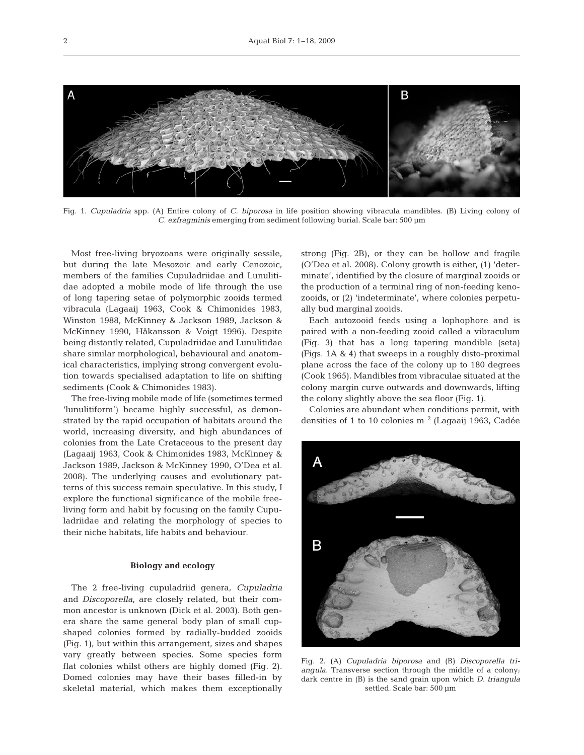

Fig. 1. Cupuladria spp. (A) Entire colony of C. biporosa in life position showing vibracula mandibles. (B) Living colony of C. exfragminis emerging from sediment following burial. Scale bar: 500 µm

Most free-living bryozoans were originally sessile, but during the late Mesozoic and early Cenozoic, members of the families Cupuladriidae and Lunulitidae adopted a mobile mode of life through the use of long tapering setae of polymorphic zooids termed vibracula (Lagaaij 1963, Cook & Chimonides 1983, Winston 1988, McKinney & Jackson 1989, Jackson & McKinney 1990, Håkansson & Voigt 1996). Despite being distantly related, Cupuladriidae and Lunulitidae share similar morphological, behavioural and anatomical characteristics, implying strong convergent evolution towards specialised adaptation to life on shifting sediments (Cook & Chimonides 1983).

The free-living mobile mode of life (sometimes termed 'lunulitiform') became highly successful, as demonstrated by the rapid occupation of habitats around the world, increasing diversity, and high abundances of colonies from the Late Cretaceous to the present day (Lagaaij 1963, Cook & Chimonides 1983, McKinney & Jackson 1989, Jackson & McKinney 1990, O'Dea et al. 2008). The underlying causes and evolutionary patterns of this success remain speculative. In this study, I explore the functional significance of the mobile freeliving form and habit by focusing on the family Cupuladriidae and relating the morphology of species to their niche habitats, life habits and behaviour.

# **Biology and ecology**

The 2 free-living cupuladriid genera, Cupuladria and Discoporella, are closely related, but their common ancestor is unknown (Dick et al. 2003). Both genera share the same general body plan of small cupshaped colonies formed by radially-budded zooids (Fig. 1), but within this arrangement, sizes and shapes vary greatly between species. Some species form flat colonies whilst others are highly domed (Fig. 2). Domed colonies may have their bases filled-in by skeletal material, which makes them exceptionally strong (Fig. 2B), or they can be hollow and fragile (O'Dea et al. 2008). Colony growth is either, (1) 'determinate', identified by the closure of marginal zooids or the production of a terminal ring of non-feeding kenozooids, or (2) 'indeterminate', where colonies perpetually bud marginal zooids.

Each autozooid feeds using a lophophore and is paired with a non-feeding zooid called a vibraculum (Fig. 3) that has a long tapering mandible (seta) (Figs. 1A & 4) that sweeps in a roughly disto-proximal plane across the face of the colony up to 180 degrees (Cook 1965). Mandibles from vibraculae situated at the colony margin curve outwards and downwards, lifting the colony slightly above the sea floor (Fig. 1).

Colonies are abundant when conditions permit, with densities of 1 to 10 colonies  $m^{-2}$  (Lagaaij 1963, Cadée



Fig. 2. (A) Cupuladria biporosa and (B) Discoporella triangula. Transverse section through the middle of a colony; dark centre in (B) is the sand grain upon which D. triangula settled. Scale bar: 500 µm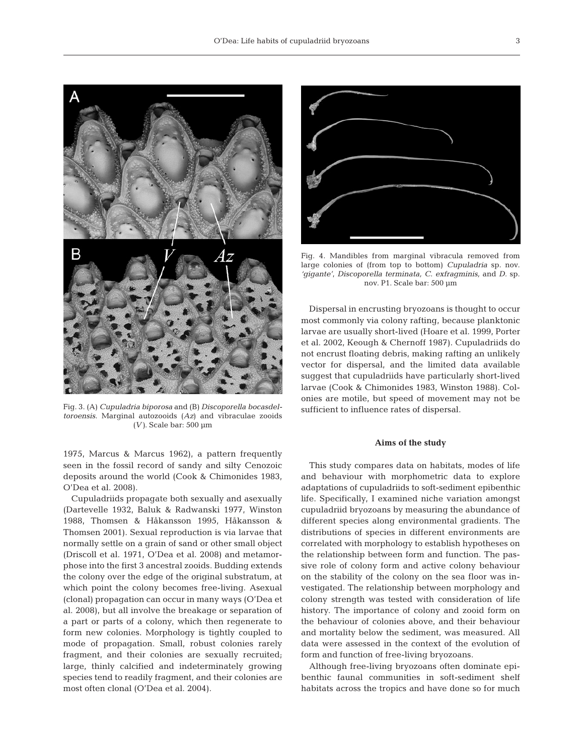

Fig. 3. (A) Cupuladria biporosa and (B) Discoporella bocasdeltoroensis. Marginal autozooids (Az) and vibraculae zooids (V). Scale bar:  $500 \mu m$ 

1975, Marcus & Marcus 1962), a pattern frequently seen in the fossil record of sandy and silty Cenozoic deposits around the world (Cook & Chimonides 1983, O'Dea et al. 2008).

Cupuladriids propagate both sexually and asexually (Dartevelle 1932, Baluk & Radwanski 1977, Winston 1988, Thomsen & Håkansson 1995, Håkansson & Thomsen 2001). Sexual reproduction is via larvae that normally settle on a grain of sand or other small object (Driscoll et al. 1971, O'Dea et al. 2008) and metamorphose into the first 3 ancestral zooids. Budding extends the colony over the edge of the original substratum, at which point the colony becomes free-living. Asexual (clonal) propagation can occur in many ways (O'Dea et al. 2008), but all involve the breakage or separation of a part or parts of a colony, which then regenerate to form new colonies. Morphology is tightly coupled to mode of propagation. Small, robust colonies rarely fragment, and their colonies are sexually recruited; large, thinly calcified and indeterminately growing species tend to readily fragment, and their colonies are most often clonal (O'Dea et al. 2004).



Fig. 4. Mandibles from marginal vibracula removed from large colonies of (from top to bottom) Cupuladria sp. nov. 'gigante', Discoporella terminata, C. exfragminis, and D. sp. nov. P1. Scale bar: 500 µm

Dispersal in encrusting bryozoans is thought to occur most commonly via colony rafting, because planktonic larvae are usually short-lived (Hoare et al. 1999, Porter et al. 2002, Keough & Chernoff 1987). Cupuladriids do not encrust floating debris, making rafting an unlikely vector for dispersal, and the limited data available suggest that cupuladriids have particularly short-lived larvae (Cook & Chimonides 1983, Winston 1988). Colonies are motile, but speed of movement may not be sufficient to influence rates of dispersal.

#### **Aims of the study**

This study compares data on habitats, modes of life and behaviour with morphometric data to explore adaptations of cupuladriids to soft-sediment epibenthic life. Specifically, I examined niche variation amongst cupuladriid bryozoans by measuring the abundance of different species along environmental gradients. The distributions of species in different environments are correlated with morphology to establish hypotheses on the relationship between form and function. The passive role of colony form and active colony behaviour on the stability of the colony on the sea floor was investigated. The relationship between morphology and colony strength was tested with consideration of life history. The importance of colony and zooid form on the behaviour of colonies above, and their behaviour and mortality below the sediment, was measured. All data were assessed in the context of the evolution of form and function of free-living bryozoans.

Although free-living bryozoans often dominate epibenthic faunal communities in soft-sediment shelf habitats across the tropics and have done so for much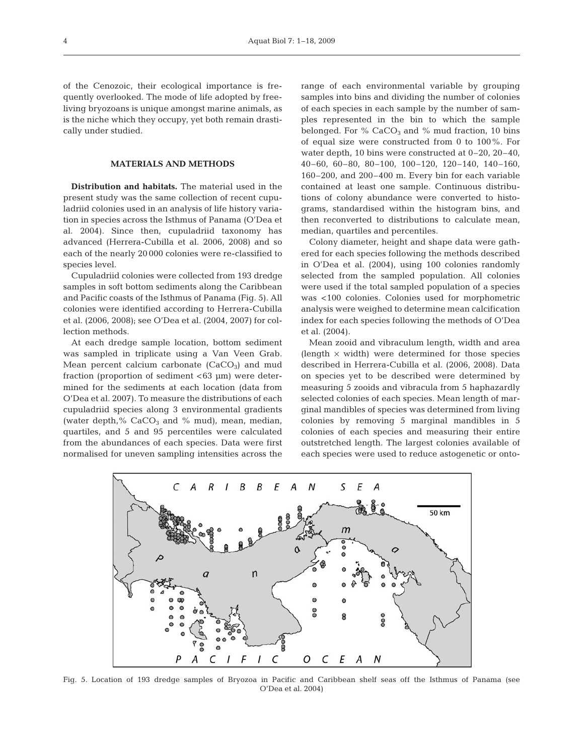of the Cenozoic, their ecological importance is frequently overlooked. The mode of life adopted by freeliving bryozoans is unique amongst marine animals, as is the niche which they occupy, yet both remain drastically under studied.

## **MATERIALS AND METHODS**

**Distribution and habitats.** The material used in the present study was the same collection of recent cupuladriid colonies used in an analysis of life history variation in species across the Isthmus of Panama (O'Dea et al. 2004). Since then, cupuladriid taxonomy has advanced (Herrera-Cubilla et al. 2006, 2008) and so each of the nearly 20 000 colonies were re-classified to species level.

Cupuladriid colonies were collected from 193 dredge samples in soft bottom sediments along the Caribbean and Pacific coasts of the Isthmus of Panama (Fig. 5). All colonies were identified according to Herrera-Cubilla et al. (2006, 2008); see O'Dea et al. (2004, 2007) for collection methods.

At each dredge sample location, bottom sediment was sampled in triplicate using a Van Veen Grab. Mean percent calcium carbonate  $(CaCO<sub>3</sub>)$  and mud fraction (proportion of sediment <63 µm) were determined for the sediments at each location (data from O'Dea et al. 2007). To measure the distributions of each cupuladriid species along 3 environmental gradients (water depth,  $%$  CaCO<sub>3</sub> and  $%$  mud), mean, median, quartiles, and 5 and 95 percentiles were calculated from the abundances of each species. Data were first normalised for uneven sampling intensities across the range of each environmental variable by grouping samples into bins and dividing the number of colonies of each species in each sample by the number of samples represented in the bin to which the sample belonged. For  $%$  CaCO<sub>3</sub> and  $%$  mud fraction, 10 bins of equal size were constructed from 0 to 100%. For water depth, 10 bins were constructed at 0–20, 20–40, 40–60, 60–80, 80–100, 100–120, 120–140, 140–160, 160–200, and 200–400 m. Every bin for each variable contained at least one sample. Continuous distributions of colony abundance were converted to histograms, standardised within the histogram bins, and then reconverted to distributions to calculate mean, median, quartiles and percentiles.

Colony diameter, height and shape data were gathered for each species following the methods described in O'Dea et al. (2004), using 100 colonies randomly selected from the sampled population. All colonies were used if the total sampled population of a species was <100 colonies. Colonies used for morphometric analysis were weighed to determine mean calcification index for each species following the methods of O'Dea et al. (2004).

Mean zooid and vibraculum length, width and area (length  $\times$  width) were determined for those species described in Herrera-Cubilla et al. (2006, 2008). Data on species yet to be described were determined by measuring 5 zooids and vibracula from 5 haphazardly selected colonies of each species. Mean length of marginal mandibles of species was determined from living colonies by removing 5 marginal mandibles in 5 colonies of each species and measuring their entire outstretched length. The largest colonies available of each species were used to reduce astogenetic or onto-



Fig. 5. Location of 193 dredge samples of Bryozoa in Pacific and Caribbean shelf seas off the Isthmus of Panama (see O'Dea et al. 2004)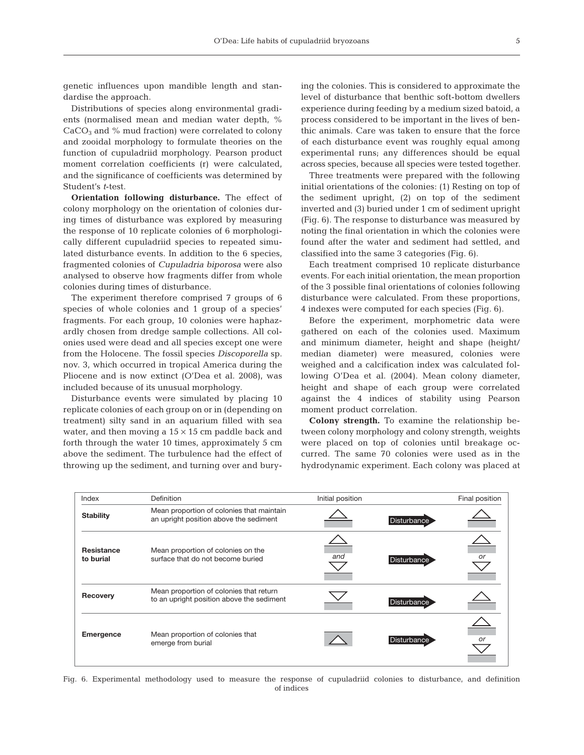genetic influences upon mandible length and standardise the approach.

Distributions of species along environmental gradients (normalised mean and median water depth, %  $CaCO<sub>3</sub>$  and % mud fraction) were correlated to colony and zooidal morphology to formulate theories on the function of cupuladriid morphology. Pearson product moment correlation coefficients (r) were calculated, and the significance of coefficients was determined by Student's t-test.

**Orientation following disturbance.** The effect of colony morphology on the orientation of colonies during times of disturbance was explored by measuring the response of 10 replicate colonies of 6 morphologically different cupuladriid species to repeated simulated disturbance events. In addition to the 6 species, fragmented colonies of Cupuladria biporosa were also analysed to observe how fragments differ from whole colonies during times of disturbance.

The experiment therefore comprised 7 groups of 6 species of whole colonies and 1 group of a species' fragments. For each group, 10 colonies were haphazardly chosen from dredge sample collections. All colonies used were dead and all species except one were from the Holocene. The fossil species Discoporella sp. nov. 3, which occurred in tropical America during the Pliocene and is now extinct (O'Dea et al. 2008), was included because of its unusual morphology.

Disturbance events were simulated by placing 10 replicate colonies of each group on or in (depending on treatment) silty sand in an aquarium filled with sea water, and then moving a  $15 \times 15$  cm paddle back and forth through the water 10 times, approximately 5 cm above the sediment. The turbulence had the effect of throwing up the sediment, and turning over and burying the colonies. This is considered to approximate the level of disturbance that benthic soft-bottom dwellers experience during feeding by a medium sized batoid, a process considered to be important in the lives of benthic animals. Care was taken to ensure that the force of each disturbance event was roughly equal among experimental runs; any differences should be equal across species, because all species were tested together.

Three treatments were prepared with the following initial orientations of the colonies: (1) Resting on top of the sediment upright, (2) on top of the sediment inverted and (3) buried under 1 cm of sediment upright (Fig. 6). The response to disturbance was measured by noting the final orientation in which the colonies were found after the water and sediment had settled, and classified into the same 3 categories (Fig. 6).

Each treatment comprised 10 replicate disturbance events. For each initial orientation, the mean proportion of the 3 possible final orientations of colonies following disturbance were calculated. From these proportions, 4 indexes were computed for each species (Fig. 6).

Before the experiment, morphometric data were gathered on each of the colonies used. Maximum and minimum diameter, height and shape (height/ median diameter) were measured, colonies were weighed and a calcification index was calculated following O'Dea et al. (2004). Mean colony diameter, height and shape of each group were correlated against the 4 indices of stability using Pearson moment product correlation.

**Colony strength.** To examine the relationship between colony morphology and colony strength, weights were placed on top of colonies until breakage occurred. The same 70 colonies were used as in the hydrodynamic experiment. Each colony was placed at

| Index                          | Definition                                                                           | Initial position |                    | Final position |
|--------------------------------|--------------------------------------------------------------------------------------|------------------|--------------------|----------------|
| <b>Stability</b>               | Mean proportion of colonies that maintain<br>an upright position above the sediment  |                  | Disturbance        |                |
| <b>Resistance</b><br>to burial | Mean proportion of colonies on the<br>surface that do not become buried              | and              | Disturbance        | or             |
| Recovery                       | Mean proportion of colonies that return<br>to an upright position above the sediment |                  | <b>Disturbance</b> |                |
| <b>Emergence</b>               | Mean proportion of colonies that<br>emerge from burial                               |                  | <b>Disturbance</b> | or             |

Fig. 6. Experimental methodology used to measure the response of cupuladriid colonies to disturbance, and definition of indices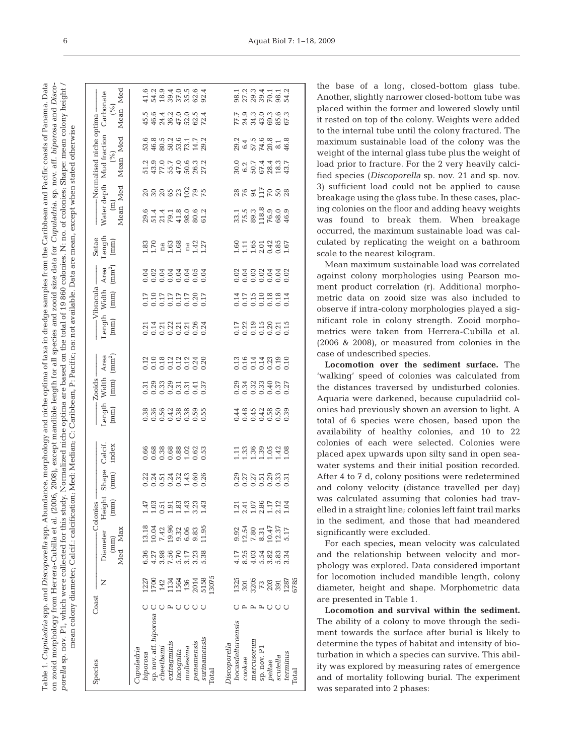porella sp. nov. P1, which were collected for this study. Normalized niche optima are based on the total of 19 860 colonies. N: no. of colonies; Shape: mean colony height / on zooid morphology from Herrera-Cubilla et al. (2006, 2008), except mandible length for all species and zooid size data for Cupuladria. sp. nov. aff. biporosa and Disco-Table 1. *Cupuladria* spp. and *Discoporella* spp. Abundance, morphology and niche optima of taxa in dredge samples from the Caribbean and Pacific coasts of Panama. Data Table 1. Cupuladria spp. and Discoporella spp. Abundance, morphology and niche optima of taxa in dredge samples from the Caribbean and Pacific coasts of Panama. Data on zooid morphology from Herrera-Cubilla et al. (2006, 2008), except mandible length for all species and zooid size data for Cupuladria. sp. nov. aff. biporosa and Discoporella sp. nov. P1, which were collected for this study. Normalized niche optima are based on the total of 19 860 colonies. N. no. of colonies, Shape: mean colony height / mean colony diameter; Calcif.: calcification; Med.: Median; C: Caribbean, P: Pacific; na: not available. Data are mean, except when stated otherwise mean colony diameter; Calcif.: calcification; Med: Median; C: Caribbean, P: Pacific; na: not available. Data are mean, except when stated otherwise

|                                                                                                                                                                                                                                                                              |                                                             |            |          |                        |           |             |           | $47940404$<br>$47997979922$                                                                                                                               |            |              |                                                        |              |                   | 12334112<br>1258688                                                                                                                                                                                                                                                                                                                             |            |             |            |          |          |       |
|------------------------------------------------------------------------------------------------------------------------------------------------------------------------------------------------------------------------------------------------------------------------------|-------------------------------------------------------------|------------|----------|------------------------|-----------|-------------|-----------|-----------------------------------------------------------------------------------------------------------------------------------------------------------|------------|--------------|--------------------------------------------------------|--------------|-------------------|-------------------------------------------------------------------------------------------------------------------------------------------------------------------------------------------------------------------------------------------------------------------------------------------------------------------------------------------------|------------|-------------|------------|----------|----------|-------|
| Carbonate                                                                                                                                                                                                                                                                    | Mean Med<br>(%)                                             |            |          |                        |           |             |           | 5 G T C C C T T<br>4 G T C C C C C T<br>4 T C C T C C C                                                                                                   |            |              |                                                        |              |                   | rononon<br>Faanono<br>Faaaco                                                                                                                                                                                                                                                                                                                    |            |             |            |          |          |       |
|                                                                                                                                                                                                                                                                              |                                                             |            |          |                        |           |             |           | 6 8 9 9 9 9 9 1 7 9<br>6 9 9 8 9 9 9 1 4 9<br>6 9 8 9 9 0 1 4 9                                                                                           |            |              |                                                        |              |                   | 21456818<br>2157884                                                                                                                                                                                                                                                                                                                             |            |             |            |          |          |       |
| Normalised niche optima                                                                                                                                                                                                                                                      | Mud fraction $(%)$<br>Mean Med                              |            |          |                        |           |             |           | 0.000 0.000 0.000<br>0.000 0.000 0.000 0.000<br>0.000 0.000 0.000 0.000                                                                                   |            |              |                                                        |              |                   | 0.0154405<br>0.054405<br>0.056244                                                                                                                                                                                                                                                                                                               |            |             |            |          |          |       |
|                                                                                                                                                                                                                                                                              |                                                             |            |          |                        |           |             |           |                                                                                                                                                           |            |              |                                                        |              |                   | 88832888                                                                                                                                                                                                                                                                                                                                        |            |             |            |          |          |       |
| Water depth                                                                                                                                                                                                                                                                  | Mean Med<br>$\widehat{\Xi}$                                 |            |          |                        |           |             |           | 0 4 4 4 6 0 6 0 1<br>0 5 5 6 5 6 6 6 7<br>0 5 6 7 6 7 6 6 6                                                                                               |            |              |                                                        |              |                   |                                                                                                                                                                                                                                                                                                                                                 |            |             |            |          |          |       |
| $\begin{array}{c} {\rm Setae} \\ {\rm Length} \\ {\rm (mm)} \end{array}$                                                                                                                                                                                                     |                                                             |            |          |                        |           |             |           | $1.70$ $1.70$ $1.60$ $1.42$ $1.27$                                                                                                                        |            |              |                                                        |              |                   | 60116014867<br>1116014861                                                                                                                                                                                                                                                                                                                       |            |             |            |          |          |       |
|                                                                                                                                                                                                                                                                              | Area<br>(mm <sup>2</sup> )                                  |            |          |                        |           |             |           | 3 3 3 3 3 3 3 3<br>3 3 3 3 3 3 3 3                                                                                                                        |            |              |                                                        |              |                   | 8388338<br>888838                                                                                                                                                                                                                                                                                                                               |            |             |            |          |          |       |
|                                                                                                                                                                                                                                                                              |                                                             |            |          |                        |           |             |           |                                                                                                                                                           |            |              |                                                        |              |                   | 15190881<br>00000000                                                                                                                                                                                                                                                                                                                            |            |             |            |          |          |       |
|                                                                                                                                                                                                                                                                              | $Length$ $(mm)$                                             |            |          |                        |           |             |           | 5253553535<br>25255555                                                                                                                                    |            |              |                                                        |              |                   | 12399215<br>12399215                                                                                                                                                                                                                                                                                                                            |            |             |            |          |          |       |
|                                                                                                                                                                                                                                                                              | Area<br>(mm <sup>2</sup> )                                  |            |          |                        |           |             |           |                                                                                                                                                           |            |              |                                                        |              |                   | 0.00110.000<br>0.0000000                                                                                                                                                                                                                                                                                                                        |            |             |            |          |          |       |
| $\frac{1}{2}$<br>$\frac{1}{2}$<br>$\frac{1}{2}$<br>$\frac{1}{2}$<br>$\frac{1}{2}$<br>$\frac{1}{2}$<br>$\frac{1}{2}$<br>$\frac{1}{2}$<br>$\frac{1}{2}$<br>$\frac{1}{2}$<br>$\frac{1}{2}$<br>$\frac{1}{2}$<br>$\frac{1}{2}$<br>$\frac{1}{2}$<br>$\frac{1}{2}$<br>$\frac{1}{2}$ |                                                             |            |          |                        |           |             |           | 5.88855555<br>5.8885555                                                                                                                                   |            |              |                                                        |              |                   |                                                                                                                                                                                                                                                                                                                                                 |            |             |            |          |          |       |
|                                                                                                                                                                                                                                                                              | $\begin{array}{c} \text{Length} \\ \text{(mm)} \end{array}$ |            |          |                        |           |             |           |                                                                                                                                                           |            |              |                                                        |              |                   | 4 4 4 4 5 6 6 9<br>4 4 4 4 5 6 6 9<br>4 6 9 9 9 9 9 9                                                                                                                                                                                                                                                                                           |            |             |            |          |          |       |
|                                                                                                                                                                                                                                                                              | Calcif.<br>index                                            |            |          |                        |           |             |           | 668888023<br>000000000                                                                                                                                    |            |              |                                                        |              |                   |                                                                                                                                                                                                                                                                                                                                                 |            |             |            |          |          |       |
|                                                                                                                                                                                                                                                                              | $\begin{array}{c} \text{Shape} \\ \text{(mm)} \end{array}$  |            |          |                        |           |             |           |                                                                                                                                                           |            |              |                                                        |              |                   |                                                                                                                                                                                                                                                                                                                                                 |            |             |            |          |          |       |
| -Colonies                                                                                                                                                                                                                                                                    | $(\mathrm{mm})$                                             |            |          |                        |           |             |           | $\frac{1}{4}$ $\frac{3}{5}$ $\frac{5}{5}$ $\frac{3}{4}$ $\frac{3}{4}$ $\frac{3}{4}$ $\frac{3}{4}$ $\frac{3}{4}$ $\frac{3}{4}$ $\frac{3}{4}$ $\frac{3}{4}$ |            |              |                                                        |              |                   | 1145867124<br>1145867124                                                                                                                                                                                                                                                                                                                        |            |             |            |          |          |       |
| Diameter Height                                                                                                                                                                                                                                                              |                                                             |            |          |                        |           |             |           | 13.18<br>10.14.36<br>10.19.30.69.35<br>11.30.69.11                                                                                                        |            |              |                                                        |              |                   | $\begin{array}{l} 9.92 \\ 12.54 \\ 7.80 \\ 8.31 \\ 10.47 \\ 12.37 \\ 5.17 \end{array}$                                                                                                                                                                                                                                                          |            |             |            |          |          |       |
|                                                                                                                                                                                                                                                                              | (mm)<br>Med Max                                             |            |          |                        |           |             |           | $0.78800$ $0.7300$<br>$0.7900$ $0.7300$<br>$0.7900$ $0.7000$                                                                                              |            |              |                                                        |              |                   | 120212021<br>120212021                                                                                                                                                                                                                                                                                                                          |            |             |            |          |          |       |
|                                                                                                                                                                                                                                                                              |                                                             |            |          |                        |           |             |           |                                                                                                                                                           |            |              | 1277<br>1700<br>1421<br>1364<br>1364<br>13075<br>13075 |              |                   | $\begin{array}{l} 1325 \\ 301 \\ 73 \\ 73 \\ 203 \\ 128 \\ 57 \\ 67 \\ 85 \\ 67 \\ 85 \\ 67 \\ 85 \\ 67 \\ 85 \\ 67 \\ 85 \\ 67 \\ 85 \\ 67 \\ 85 \\ 67 \\ 85 \\ 67 \\ 86 \\ 78 \\ 85 \\ 78 \\ 87 \\ 89 \\ 89 \\ 80 \\ 80 \\ 87 \\ 87 \\ 89 \\ 80 \\ 87 \\ 89 \\ 80 \\ 87 \\ 89 \\ 80 \\ 87 \\ 89 \\ 80 \\ 80 \\ 87 \\ 80 \\ 87 \\ 89 \\ 89 \\$ |            |             |            |          |          |       |
| $\cos$                                                                                                                                                                                                                                                                       |                                                             |            |          |                        |           |             |           | UUU                                                                                                                                                       |            |              |                                                        |              |                   |                                                                                                                                                                                                                                                                                                                                                 |            |             | <b>UUU</b> |          |          |       |
|                                                                                                                                                                                                                                                                              |                                                             |            |          | sp. nov. aff. biporosa |           | exfragminis |           |                                                                                                                                                           | panamensis | surinamensis |                                                        | discoporella | bocasdeltoroensis |                                                                                                                                                                                                                                                                                                                                                 | marcusorun |             |            |          |          |       |
| Species                                                                                                                                                                                                                                                                      |                                                             | cupuladria | biporosa |                        | cheethami |             | incognita | multesima                                                                                                                                                 |            |              | <b>Total</b>                                           |              |                   | cookae                                                                                                                                                                                                                                                                                                                                          |            | sp. nov. Pi | peltae     | scutella | terminus | Total |

the base of a long, closed-bottom glass tube. Another, slightly narrower closed-bottom tube was placed within the former and lowered slowly until it rested on top of the colony. Weights were added to the internal tube until the colony fractured. The maximum sustainable load of the colony was the weight of the internal glass tube plus the weight of load prior to fracture. For the 2 very heavily calcified species (Discoporella sp. nov. 21 and sp. nov. 3) sufficient load could not be applied to cause breakage using the glass tube. In these cases, placing colonies on the floor and adding heavy weights was found to break them. When breakage occurred, the maximum sustainable load was calculated by replicating the weight on a bathroom scale to the nearest kilogram.

Mean maximum sustainable load was correlated against colony morphologies using Pearson moment product correlation (r). Additional morphometric data on zooid size was also included to observe if intra-colony morphologies played a significant role in colony strength. Zooid morphometrics were taken from Herrera-Cubilla et al. (2006 & 2008), or measured from colonies in the case of undescribed species.

**Locomotion over the sediment surface.** The 'walking' speed of colonies was calculated from the distances traversed by undisturbed colonies. Aquaria were darkened, because cupuladriid colonies had previously shown an aversion to light. A total of 6 species were chosen, based upon the availability of healthy colonies, and 10 to 22 colonies of each were selected. Colonies were placed apex upwards upon silty sand in open seawater systems and their initial position recorded. After 4 to 7 d, colony positions were redetermined and colony velocity (distance travelled per day) was calculated assuming that colonies had travelled in a straight line; colonies left faint trail marks in the sediment, and those that had meandered significantly were excluded.

For each species, mean velocity was calculated and the relationship between velocity and morphology was explored. Data considered important for locomotion included mandible length, colony diameter, height and shape. Morphometric data are presented in Table 1.

**Locomotion and survival within the sediment.** The ability of a colony to move through the sediment towards the surface after burial is likely to determine the types of habitat and intensity of bioturbation in which a species can survive. This ability was explored by measuring rates of emergence and of mortality following burial. The experiment was separated into 2 phases: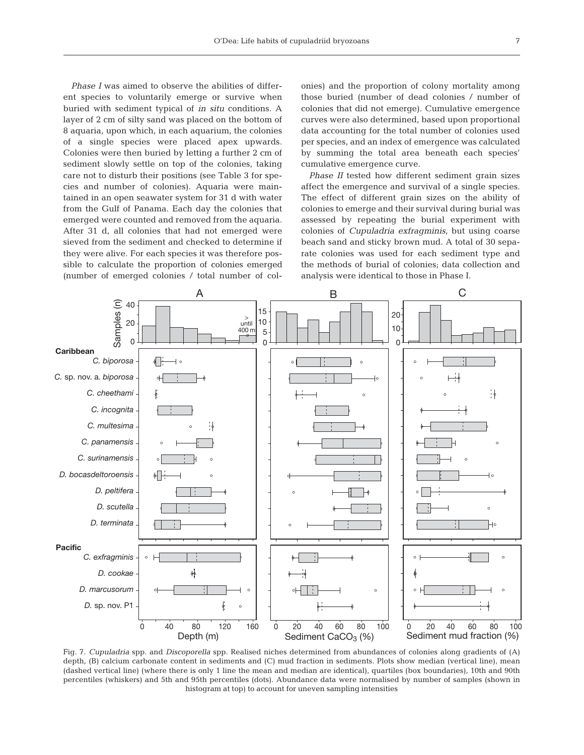Phase I was aimed to observe the abilities of different species to voluntarily emerge or survive when buried with sediment typical of in situ conditions. A layer of 2 cm of silty sand was placed on the bottom of 8 aquaria, upon which, in each aquarium, the colonies of a single species were placed apex upwards. Colonies were then buried by letting a further 2 cm of sediment slowly settle on top of the colonies, taking care not to disturb their positions (see Table 3 for species and number of colonies). Aquaria were maintained in an open seawater system for 31 d with water from the Gulf of Panama. Each day the colonies that emerged were counted and removed from the aquaria. After 31 d, all colonies that had not emerged were sieved from the sediment and checked to determine if they were alive. For each species it was therefore possible to calculate the proportion of colonies emerged (number of emerged colonies / total number of colonies) and the proportion of colony mortality among those buried (number of dead colonies / number of colonies that did not emerge). Cumulative emergence curves were also determined, based upon proportional data accounting for the total number of colonies used per species, and an index of emergence was calculated by summing the total area beneath each species' cumulative emergence curve.

Phase II tested how different sediment grain sizes affect the emergence and survival of a single species. The effect of different grain sizes on the ability of colonies to emerge and their survival during burial was assessed by repeating the burial experiment with colonies of Cupuladria exfragminis, but using coarse beach sand and sticky brown mud. A total of 30 separate colonies was used for each sediment type and the methods of burial of colonies; data collection and analysis were identical to those in Phase I.



Fig. 7. Cupuladria spp. and Discoporella spp. Realised niches determined from abundances of colonies along gradients of (A) depth, (B) calcium carbonate content in sediments and (C) mud fraction in sediments. Plots show median (vertical line), mean (dashed vertical line) (where there is only 1 line the mean and median are identical), quartiles (box boundaries), 10th and 90th percentiles (whiskers) and 5th and 95th percentiles (dots). Abundance data were normalised by number of samples (shown in histogram at top) to account for uneven sampling intensities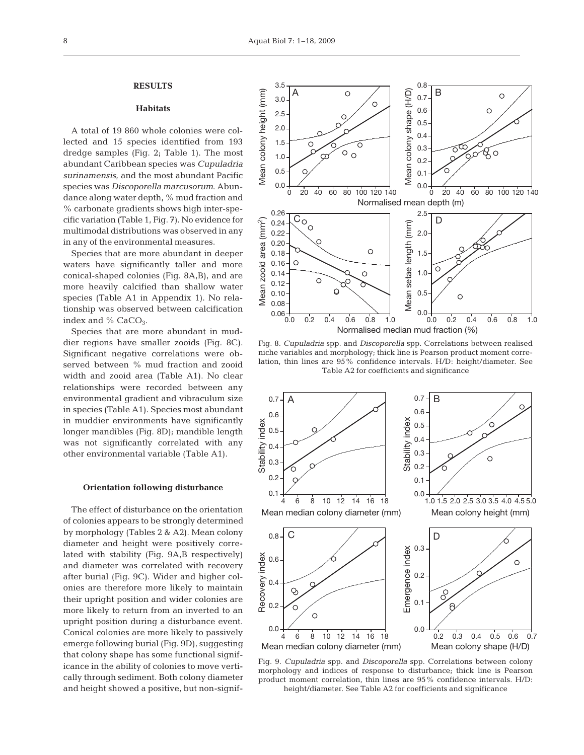# **RESULTS**

# **Habitats**

A total of 19 860 whole colonies were collected and 15 species identified from 193 dredge samples (Fig. 2; Table 1). The most abundant Caribbean species was Cupuladria surinamensis, and the most abundant Pacific species was Discoporella marcusorum. Abundance along water depth, % mud fraction and % carbonate gradients shows high inter-specific variation (Table 1, Fig. 7). No evidence for multimodal distributions was observed in any in any of the environmental measures.

Species that are more abundant in deeper waters have significantly taller and more conical-shaped colonies (Fig. 8A,B), and are more heavily calcified than shallow water species (Table A1 in Appendix 1). No relationship was observed between calcification index and  $%$  CaCO<sub>3</sub>.

Species that are more abundant in muddier regions have smaller zooids (Fig. 8C). Significant negative correlations were observed between % mud fraction and zooid width and zooid area (Table A1). No clear relationships were recorded between any environmental gradient and vibraculum size in species (Table A1). Species most abundant in muddier environments have significantly longer mandibles (Fig. 8D); mandible length was not significantly correlated with any other environmental variable (Table A1).

#### **Orientation following disturbance**

The effect of disturbance on the orientation of colonies appears to be strongly determined by morphology (Tables 2 & A2). Mean colony diameter and height were positively correlated with stability (Fig. 9A,B respectively) and diameter was correlated with recovery after burial (Fig. 9C). Wider and higher colonies are therefore more likely to maintain their upright position and wider colonies are more likely to return from an inverted to an upright position during a disturbance event. Conical colonies are more likely to passively emerge following burial (Fig. 9D), suggesting that colony shape has some functional significance in the ability of colonies to move vertically through sediment. Both colony diameter and height showed a positive, but non-signif-



Fig. 8. Cupuladria spp. and Discoporella spp. Correlations between realised niche variables and morphology; thick line is Pearson product moment correlation, thin lines are 95% confidence intervals. H/D: height/diameter. See Table A2 for coefficients and significance



Fig. 9. Cupuladria spp. and Discoporella spp. Correlations between colony morphology and indices of response to disturbance; thick line is Pearson product moment correlation, thin lines are 95% confidence intervals. H/D: height/diameter. See Table A2 for coefficients and significance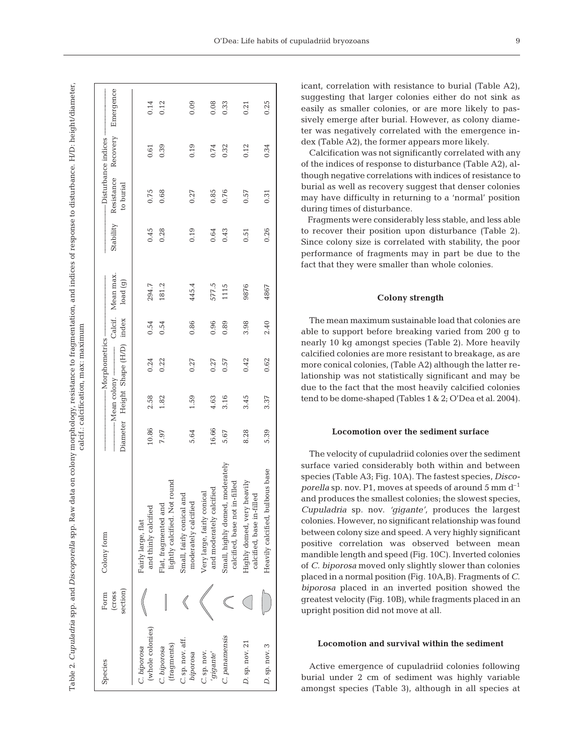| l<br>I |
|--------|
|        |

| Species                         | section)<br>(CTOSS<br>Form | Colony form                                                      |       | $-Mean colony$ — | Diameter Height Shape (H/D) index load (g)<br>— Morphometrics — |      | Calcif. Mean max | Stability | -Disturbance indices<br>Resistance<br>to burial | Recovery | Emergence |
|---------------------------------|----------------------------|------------------------------------------------------------------|-------|------------------|-----------------------------------------------------------------|------|------------------|-----------|-------------------------------------------------|----------|-----------|
| (whole colonies)<br>C. biporosa |                            | and thinly calcified<br>Fairly large, flat                       | 10.86 | 2.58             | 0.24                                                            | 0.54 | 294.7            | 0.45      | 0.75                                            | 0.61     | 0.14      |
| (fragments)<br>C. biporosa      |                            | lightly calcified. Not round<br>Flat, fragmented and             | 7.97  | 1.82             | 0.22                                                            | 0.54 | 181.2            | 0.28      | 0.68                                            | 0.39     | 0.12      |
| C. sp. nov. aff.<br>biporosa    |                            | and<br>moderately calcified<br>Small, fairly conical             | 5.64  | 1.59             | 0.27                                                            | 0.86 | 445.4            | 0.19      | 0.27                                            | 0.19     | 0.09      |
| C. sp. nov.<br>'gigante'        |                            | and moderately calcified<br>Very large, fairly conical           | 16.66 | 4.63             | 0.27                                                            | 0.96 | 577.5            | 0.64      | 0.85                                            | 0.74     | 0.08      |
| C. panamensis                   |                            | Small, highly domed, moderately<br>calcified, base not in-filled | 5.67  | 3.16             | 0.57                                                            | 0.89 | 1115             | 0.43      | 0.76                                            | 0.32     | 0.33      |
| D. sp. nov. 21                  |                            | Highly domed, very heavily<br>calcified, base in-filled          | 8.28  | 3.45             | 0.42                                                            | 3.98 | 9876             | 0.51      | 0.57                                            | 0.12     | 0.21      |
| D. sp. nov. 3                   |                            | Heavily calcified, bulbous base                                  | 5.39  | 3.37             | 0.62                                                            | 2.40 | 4867             | 0.26      | 0.31                                            | 0.34     | 0.25      |

icant, correlation with resistance to burial (Table A2), suggesting that larger colonies either do not sink as easily as smaller colonies, or are more likely to passively emerge after burial. However, as colony diameter was negatively correlated with the emergence index (Table A2), the former appears more likely.

Calcification was not significantly correlated with any of the indices of response to disturbance (Table A2), although negative correlations with indices of resistance to burial as well as recovery suggest that denser colonies may have difficulty in returning to a 'normal' position during times of disturbance.

Fragments were considerably less stable, and less able to recover their position upon disturbance (Table 2). Since colony size is correlated with stability, the poor performance of fragments may in part be due to the fact that they were smaller than whole colonies.

# **Colony strength**

The mean maximum sustainable load that colonies are able to support before breaking varied from 200 g to nearly 10 kg amongst species (Table 2). More heavily calcified colonies are more resistant to breakage, as are more conical colonies, (Table A2) although the latter relationship was not statistically significant and may be due to the fact that the most heavily calcified colonies tend to be dome-shaped (Tables 1 & 2; O'Dea et al. 2004).

#### **Locomotion over the sediment surface**

The velocity of cupuladriid colonies over the sediment surface varied considerably both within and between species (Table A3; Fig. 10A). The fastest species, Discoporella sp. nov. P1, moves at speeds of around 5 mm  $d^{-1}$ and produces the smallest colonies; the slowest species, Cupuladria sp. nov. 'gigante', produces the largest colonies. However, no significant relationship was found between colony size and speed. A very highly significant positive correlation was observed between mean mandible length and speed (Fig. 10C). Inverted colonies of C. biporosa moved only slightly slower than colonies placed in a normal position (Fig. 10A,B). Fragments of C. biporosa placed in an inverted position showed the greatest velocity (Fig. 10B), while fragments placed in an upright position did not move at all.

# **Locomotion and survival within the sediment**

Active emergence of cupuladriid colonies following burial under 2 cm of sediment was highly variable amongst species (Table 3), although in all species at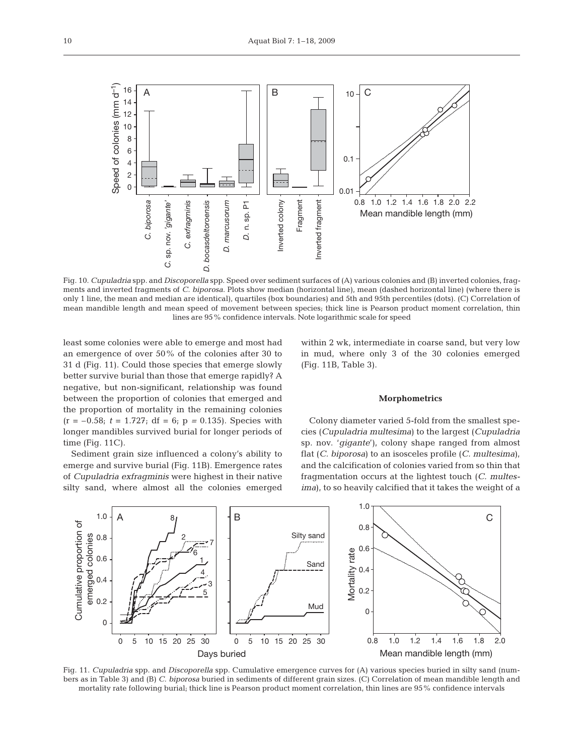

Fig. 10. Cupuladria spp. and Discoporella spp. Speed over sediment surfaces of (A) various colonies and (B) inverted colonies, fragments and inverted fragments of C. biporosa. Plots show median (horizontal line), mean (dashed horizontal line) (where there is only 1 line, the mean and median are identical), quartiles (box boundaries) and 5th and 95th percentiles (dots). (C) Correlation of mean mandible length and mean speed of movement between species; thick line is Pearson product moment correlation, thin lines are 95% confidence intervals. Note logarithmic scale for speed

least some colonies were able to emerge and most had an emergence of over 50% of the colonies after 30 to 31 d (Fig. 11). Could those species that emerge slowly better survive burial than those that emerge rapidly? A negative, but non-significant, relationship was found between the proportion of colonies that emerged and the proportion of mortality in the remaining colonies  $(r = -0.58; t = 1.727; df = 6; p = 0.135)$ . Species with longer mandibles survived burial for longer periods of time (Fig. 11C).

Sediment grain size influenced a colony's ability to emerge and survive burial (Fig. 11B). Emergence rates of Cupuladria exfragminis were highest in their native silty sand, where almost all the colonies emerged

within 2 wk, intermediate in coarse sand, but very low in mud, where only 3 of the 30 colonies emerged (Fig. 11B, Table 3).

## **Morphometrics**

Colony diameter varied 5-fold from the smallest species (Cupuladria multesima) to the largest (Cupuladria sp. nov. 'gigante'), colony shape ranged from almost flat (C. biporosa) to an isosceles profile (C. multesima), and the calcification of colonies varied from so thin that fragmentation occurs at the lightest touch (C. multesima), to so heavily calcified that it takes the weight of a



Fig. 11. Cupuladria spp. and Discoporella spp. Cumulative emergence curves for (A) various species buried in silty sand (numbers as in Table 3) and (B) C. biporosa buried in sediments of different grain sizes. (C) Correlation of mean mandible length and mortality rate following burial; thick line is Pearson product moment correlation, thin lines are 95% confidence intervals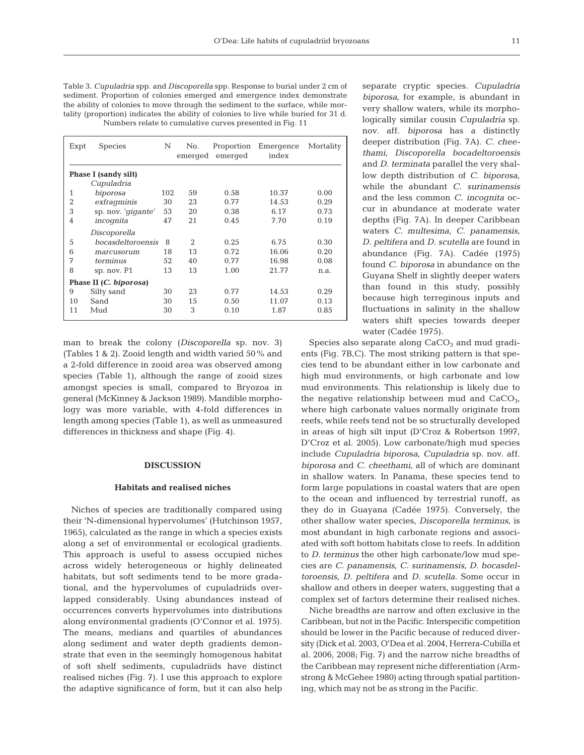| Table 3. Cupuladria spp. and Discoporella spp. Response to burial under 2 cm of      |
|--------------------------------------------------------------------------------------|
| sediment. Proportion of colonies emerged and emergence index demonstrate             |
| the ability of colonies to move through the sediment to the surface, while mor-      |
| tality (proportion) indicates the ability of colonies to live while buried for 31 d. |
| Numbers relate to cumulative curves presented in Fig. 11                             |

| Expt           | <b>Species</b>         | N   | No.<br>emerged | Proportion<br>emerged | Emergence<br>index | Mortality |
|----------------|------------------------|-----|----------------|-----------------------|--------------------|-----------|
|                | Phase I (sandy silt)   |     |                |                       |                    |           |
|                | Cupuladria             |     |                |                       |                    |           |
| 1              | biporosa               | 102 | 59             | 0.58                  | 10.37              | 0.00      |
| $\overline{2}$ | exfragminis            | 30  | 23             | 0.77                  | 14.53              | 0.29      |
| 3              | sp. nov. 'gigante'     | 53  | 20             | 0.38                  | 6.17               | 0.73      |
| $\overline{4}$ | incognita              | 47  | 21             | 0.45                  | 7.70               | 0.19      |
|                | Discoporella           |     |                |                       |                    |           |
| 5              | bocasdeltoroensis      | 8   | 2              | 0.25                  | 6.75               | 0.30      |
| 6              | marcusorum             | 18  | 13             | 0.72                  | 16.06              | 0.20      |
| 7              | terminus               | 52  | 40             | 0.77                  | 16.98              | 0.08      |
| 8              | sp. nov. P1            | 13  | 13             | 1.00                  | 21.77              | n.a.      |
|                | Phase II (C. biporosa) |     |                |                       |                    |           |
| 9              | Silty sand             | 30  | 23             | 0.77                  | 14.53              | 0.29      |
| 10             | Sand                   | 30  | 15             | 0.50                  | 11.07              | 0.13      |
| 11             | Mud                    | 30  | 3              | 0.10                  | 1.87               | 0.85      |

man to break the colony (Discoporella sp. nov. 3) (Tables 1 & 2). Zooid length and width varied 50% and a 2-fold difference in zooid area was observed among species (Table 1), although the range of zooid sizes amongst species is small, compared to Bryozoa in general (McKinney & Jackson 1989). Mandible morphology was more variable, with 4-fold differences in length among species (Table 1), as well as unmeasured differences in thickness and shape (Fig. 4).

#### **DISCUSSION**

#### **Habitats and realised niches**

Niches of species are traditionally compared using their 'N-dimensional hypervolumes' (Hutchinson 1957, 1965), calculated as the range in which a species exists along a set of environmental or ecological gradients. This approach is useful to assess occupied niches across widely heterogeneous or highly delineated habitats, but soft sediments tend to be more gradational, and the hypervolumes of cupuladriids overlapped considerably. Using abundances instead of occurrences converts hypervolumes into distributions along environmental gradients (O'Connor et al. 1975). The means, medians and quartiles of abundances along sediment and water depth gradients demonstrate that even in the seemingly homogenous habitat of soft shelf sediments, cupuladriids have distinct realised niches (Fig. 7). I use this approach to explore the adaptive significance of form, but it can also help separate cryptic species. Cupuladria biporosa, for example, is abundant in very shallow waters, while its morphologically similar cousin Cupuladria sp. nov. aff. biporosa has a distinctly deeper distribution (Fig. 7A). C. cheethami, Discoporella bocadeltoroensis and D. terminata parallel the very shallow depth distribution of C. biporosa, while the abundant C. surinamensis and the less common C. incognita occur in abundance at moderate water depths (Fig. 7A). In deeper Caribbean waters C. multesima, C. panamensis, D. peltifera and D. scutella are found in abundance (Fig. 7A). Cadée (1975) found C. biporosa in abundance on the Guyana Shelf in slightly deeper waters than found in this study, possibly because high terreginous inputs and fluctuations in salinity in the shallow waters shift species towards deeper water (Cadée 1975).

Species also separate along  $CaCO<sub>3</sub>$  and mud gradients (Fig. 7B,C). The most striking pattern is that species tend to be abundant either in low carbonate and high mud environments, or high carbonate and low mud environments. This relationship is likely due to the negative relationship between mud and  $CaCO<sub>3</sub>$ , where high carbonate values normally originate from reefs, while reefs tend not be so structurally developed in areas of high silt input (D'Croz & Robertson 1997, D'Croz et al. 2005). Low carbonate/high mud species include Cupuladria biporosa, Cupuladria sp. nov. aff. biporosa and C. cheethami, all of which are dominant in shallow waters. In Panama, these species tend to form large populations in coastal waters that are open to the ocean and influenced by terrestrial runoff, as they do in Guayana (Cadée 1975). Conversely, the other shallow water species, Discoporella terminus, is most abundant in high carbonate regions and associated with soft bottom habitats close to reefs. In addition to D. terminus the other high carbonate/low mud species are C. panamensis, C. surinamensis, D. bocasdeltoroensis, D. peltifera and D. scutella. Some occur in shallow and others in deeper waters, suggesting that a complex set of factors determine their realised niches.

Niche breadths are narrow and often exclusive in the Caribbean, but not in the Pacific. Interspecific competition should be lower in the Pacific because of reduced diversity (Dick et al. 2003, O'Dea et al. 2004, Herrera-Cubilla et al. 2006, 2008; Fig. 7) and the narrow niche breadths of the Caribbean may represent niche differentiation (Armstrong & McGehee 1980) acting through spatial partitioning, which may not be as strong in the Pacific.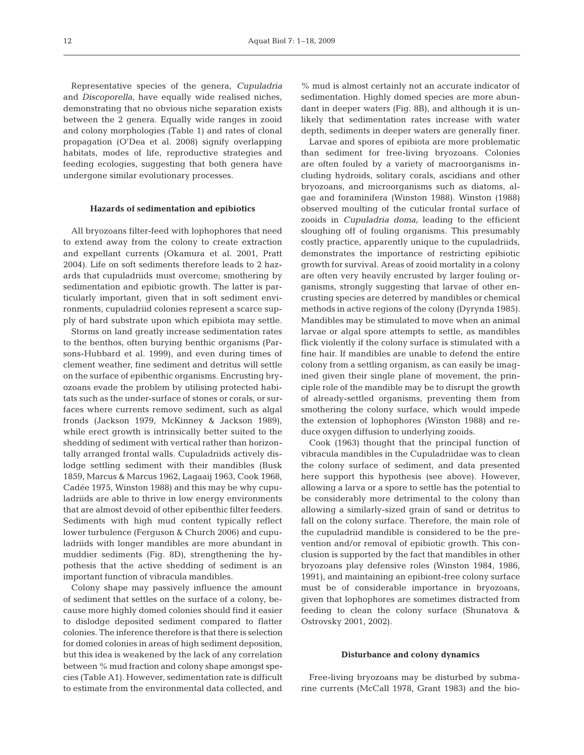Representative species of the genera, Cupuladria and Discoporella, have equally wide realised niches, demonstrating that no obvious niche separation exists between the 2 genera. Equally wide ranges in zooid and colony morphologies (Table 1) and rates of clonal propagation (O'Dea et al. 2008) signify overlapping habitats, modes of life, reproductive strategies and feeding ecologies, suggesting that both genera have undergone similar evolutionary processes.

## **Hazards of sedimentation and epibiotics**

All bryozoans filter-feed with lophophores that need to extend away from the colony to create extraction and expellant currents (Okamura et al. 2001, Pratt 2004). Life on soft sediments therefore leads to 2 hazards that cupuladriids must overcome; smothering by sedimentation and epibiotic growth. The latter is particularly important, given that in soft sediment environments, cupuladriid colonies represent a scarce supply of hard substrate upon which epibiota may settle.

Storms on land greatly increase sedimentation rates to the benthos, often burying benthic organisms (Parsons-Hubbard et al. 1999), and even during times of clement weather, fine sediment and detritus will settle on the surface of epibenthic organisms. Encrusting bryozoans evade the problem by utilising protected habitats such as the under-surface of stones or corals, or surfaces where currents remove sediment, such as algal fronds (Jackson 1979, McKinney & Jackson 1989), while erect growth is intrinsically better suited to the shedding of sediment with vertical rather than horizontally arranged frontal walls. Cupuladriids actively dislodge settling sediment with their mandibles (Busk 1859, Marcus & Marcus 1962, Lagaaij 1963, Cook 1968, Cadée 1975, Winston 1988) and this may be why cupuladriids are able to thrive in low energy environments that are almost devoid of other epibenthic filter feeders. Sediments with high mud content typically reflect lower turbulence (Ferguson & Church 2006) and cupuladriids with longer mandibles are more abundant in muddier sediments (Fig. 8D), strengthening the hypothesis that the active shedding of sediment is an important function of vibracula mandibles.

Colony shape may passively influence the amount of sediment that settles on the surface of a colony, because more highly domed colonies should find it easier to dislodge deposited sediment compared to flatter colonies. The inference therefore is that there is selection for domed colonies in areas of high sediment deposition, but this idea is weakened by the lack of any correlation between % mud fraction and colony shape amongst species (Table A1). However, sedimentation rate is difficult to estimate from the environmental data collected, and % mud is almost certainly not an accurate indicator of sedimentation. Highly domed species are more abundant in deeper waters (Fig. 8B), and although it is unlikely that sedimentation rates increase with water depth, sediments in deeper waters are generally finer.

Larvae and spores of epibiota are more problematic than sediment for free-living bryozoans. Colonies are often fouled by a variety of macroorganisms including hydroids, solitary corals, ascidians and other bryozoans, and microorganisms such as diatoms, algae and foraminifera (Winston 1988). Winston (1988) observed moulting of the cuticular frontal surface of zooids in Cupuladria doma, leading to the efficient sloughing off of fouling organisms. This presumably costly practice, apparently unique to the cupuladriids, demonstrates the importance of restricting epibiotic growth for survival. Areas of zooid mortality in a colony are often very heavily encrusted by larger fouling organisms, strongly suggesting that larvae of other encrusting species are deterred by mandibles or chemical methods in active regions of the colony (Dyrynda 1985). Mandibles may be stimulated to move when an animal larvae or algal spore attempts to settle, as mandibles flick violently if the colony surface is stimulated with a fine hair. If mandibles are unable to defend the entire colony from a settling organism, as can easily be imagined given their single plane of movement, the principle role of the mandible may be to disrupt the growth of already-settled organisms, preventing them from smothering the colony surface, which would impede the extension of lophophores (Winston 1988) and reduce oxygen diffusion to underlying zooids.

Cook (1963) thought that the principal function of vibracula mandibles in the Cupuladriidae was to clean the colony surface of sediment, and data presented here support this hypothesis (see above). However, allowing a larva or a spore to settle has the potential to be considerably more detrimental to the colony than allowing a similarly-sized grain of sand or detritus to fall on the colony surface. Therefore, the main role of the cupuladriid mandible is considered to be the prevention and/or removal of epibiotic growth. This conclusion is supported by the fact that mandibles in other bryozoans play defensive roles (Winston 1984, 1986, 1991), and maintaining an epibiont-free colony surface must be of considerable importance in bryozoans, given that lophophores are sometimes distracted from feeding to clean the colony surface (Shunatova & Ostrovsky 2001, 2002).

#### **Disturbance and colony dynamics**

Free-living bryozoans may be disturbed by submarine currents (McCall 1978, Grant 1983) and the bio-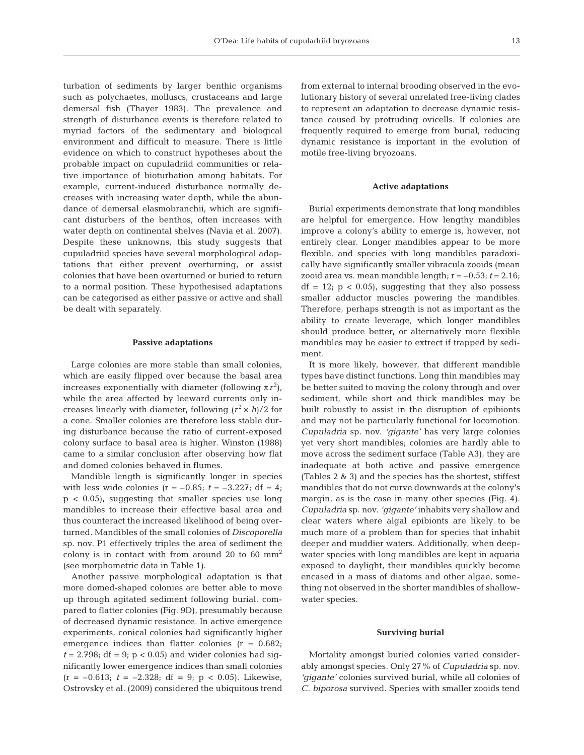turbation of sediments by larger benthic organisms such as polychaetes, molluscs, crustaceans and large demersal fish (Thayer 1983). The prevalence and strength of disturbance events is therefore related to myriad factors of the sedimentary and biological environment and difficult to measure. There is little evidence on which to construct hypotheses about the probable impact on cupuladriid communities or relative importance of bioturbation among habitats. For example, current-induced disturbance normally decreases with increasing water depth, while the abundance of demersal elasmobranchii, which are significant disturbers of the benthos, often increases with water depth on continental shelves (Navia et al. 2007). Despite these unknowns, this study suggests that cupuladriid species have several morphological adaptations that either prevent overturning, or assist colonies that have been overturned or buried to return to a normal position. These hypothesised adaptations can be categorised as either passive or active and shall be dealt with separately.

#### **Passive adaptations**

Large colonies are more stable than small colonies, which are easily flipped over because the basal area increases exponentially with diameter (following  $\pi r^2$ ), while the area affected by leeward currents only increases linearly with diameter, following  $(r^2 \times h)/2$  for a cone. Smaller colonies are therefore less stable during disturbance because the ratio of current-exposed colony surface to basal area is higher. Winston (1988) came to a similar conclusion after observing how flat and domed colonies behaved in flumes.

Mandible length is significantly longer in species with less wide colonies ( $r = -0.85$ ;  $t = -3.227$ ; df = 4;  $p < 0.05$ ), suggesting that smaller species use long mandibles to increase their effective basal area and thus counteract the increased likelihood of being overturned. Mandibles of the small colonies of Discoporella sp. nov. P1 effectively triples the area of sediment the colony is in contact with from around 20 to 60  $mm<sup>2</sup>$ (see morphometric data in Table 1).

Another passive morphological adaptation is that more domed-shaped colonies are better able to move up through agitated sediment following burial, compared to flatter colonies (Fig. 9D), presumably because of decreased dynamic resistance. In active emergence experiments, conical colonies had significantly higher emergence indices than flatter colonies  $(r = 0.682)$ ;  $t = 2.798$ ; df = 9; p < 0.05) and wider colonies had significantly lower emergence indices than small colonies  $(r = -0.613; t = -2.328; df = 9; p < 0.05)$ . Likewise, Ostrovsky et al. (2009) considered the ubiquitous trend from external to internal brooding observed in the evolutionary history of several unrelated free-living clades to represent an adaptation to decrease dynamic resistance caused by protruding ovicells. If colonies are frequently required to emerge from burial, reducing dynamic resistance is important in the evolution of motile free-living bryozoans.

#### **Active adaptations**

Burial experiments demonstrate that long mandibles are helpful for emergence. How lengthy mandibles improve a colony's ability to emerge is, however, not entirely clear. Longer mandibles appear to be more flexible, and species with long mandibles paradoxically have significantly smaller vibracula zooids (mean zooid area vs. mean mandible length;  $r = -0.53$ ;  $t = 2.16$ ;  $df = 12$ ;  $p < 0.05$ ), suggesting that they also possess smaller adductor muscles powering the mandibles. Therefore, perhaps strength is not as important as the ability to create leverage, which longer mandibles should produce better, or alternatively more flexible mandibles may be easier to extrect if trapped by sediment.

It is more likely, however, that different mandible types have distinct functions. Long thin mandibles may be better suited to moving the colony through and over sediment, while short and thick mandibles may be built robustly to assist in the disruption of epibionts and may not be particularly functional for locomotion. Cupuladria sp. nov. 'gigante' has very large colonies yet very short mandibles; colonies are hardly able to move across the sediment surface (Table A3), they are inadequate at both active and passive emergence (Tables 2 & 3) and the species has the shortest, stiffest mandibles that do not curve downwards at the colony's margin, as is the case in many other species (Fig. 4). Cupuladria sp. nov. 'gigante' inhabits very shallow and clear waters where algal epibionts are likely to be much more of a problem than for species that inhabit deeper and muddier waters. Additionally, when deepwater species with long mandibles are kept in aquaria exposed to daylight, their mandibles quickly become encased in a mass of diatoms and other algae, something not observed in the shorter mandibles of shallowwater species.

#### **Surviving burial**

Mortality amongst buried colonies varied considerably amongst species. Only 27% of Cupuladria sp. nov. 'gigante' colonies survived burial, while all colonies of C. biporosa survived. Species with smaller zooids tend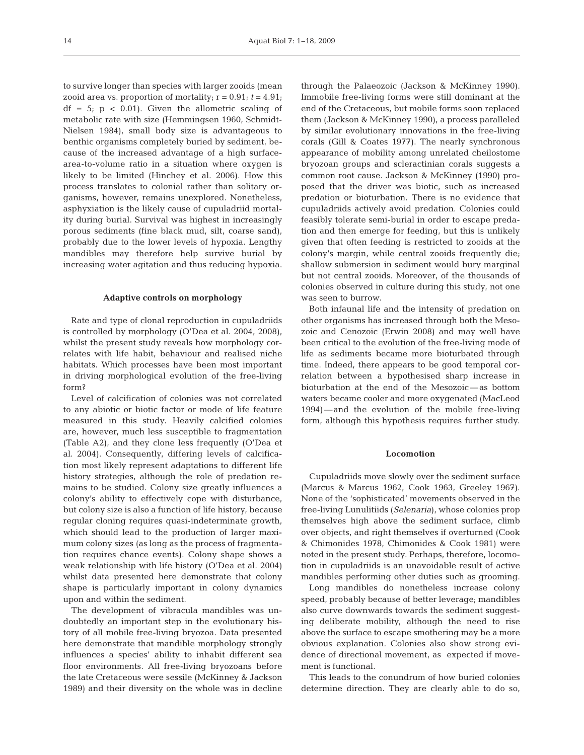to survive longer than species with larger zooids (mean zooid area vs. proportion of mortality;  $r = 0.91$ ;  $t = 4.91$ ;  $df = 5$ ;  $p \lt 0.01$ ). Given the allometric scaling of metabolic rate with size (Hemmingsen 1960, Schmidt-Nielsen 1984), small body size is advantageous to benthic organisms completely buried by sediment, because of the increased advantage of a high surfacearea-to-volume ratio in a situation where oxygen is likely to be limited (Hinchey et al. 2006). How this process translates to colonial rather than solitary organisms, however, remains unexplored. Nonetheless, asphyxiation is the likely cause of cupuladriid mortality during burial. Survival was highest in increasingly porous sediments (fine black mud, silt, coarse sand), probably due to the lower levels of hypoxia. Lengthy mandibles may therefore help survive burial by increasing water agitation and thus reducing hypoxia.

#### **Adaptive controls on morphology**

Rate and type of clonal reproduction in cupuladriids is controlled by morphology (O'Dea et al. 2004, 2008), whilst the present study reveals how morphology correlates with life habit, behaviour and realised niche habitats. Which processes have been most important in driving morphological evolution of the free-living form?

Level of calcification of colonies was not correlated to any abiotic or biotic factor or mode of life feature measured in this study. Heavily calcified colonies are, however, much less susceptible to fragmentation (Table A2), and they clone less frequently (O'Dea et al. 2004). Consequently, differing levels of calcification most likely represent adaptations to different life history strategies, although the role of predation remains to be studied. Colony size greatly influences a colony's ability to effectively cope with disturbance, but colony size is also a function of life history, because regular cloning requires quasi-indeterminate growth, which should lead to the production of larger maximum colony sizes (as long as the process of fragmentation requires chance events). Colony shape shows a weak relationship with life history (O'Dea et al. 2004) whilst data presented here demonstrate that colony shape is particularly important in colony dynamics upon and within the sediment.

The development of vibracula mandibles was undoubtedly an important step in the evolutionary history of all mobile free-living bryozoa. Data presented here demonstrate that mandible morphology strongly influences a species' ability to inhabit different sea floor environments. All free-living bryozoans before the late Cretaceous were sessile (McKinney & Jackson 1989) and their diversity on the whole was in decline through the Palaeozoic (Jackson & McKinney 1990). Immobile free-living forms were still dominant at the end of the Cretaceous, but mobile forms soon replaced them (Jackson & McKinney 1990), a process paralleled by similar evolutionary innovations in the free-living corals (Gill & Coates 1977). The nearly synchronous appearance of mobility among unrelated cheilostome bryozoan groups and scleractinian corals suggests a common root cause. Jackson & McKinney (1990) proposed that the driver was biotic, such as increased predation or bioturbation. There is no evidence that cupuladriids actively avoid predation. Colonies could feasibly tolerate semi-burial in order to escape predation and then emerge for feeding, but this is unlikely given that often feeding is restricted to zooids at the colony's margin, while central zooids frequently die; shallow submersion in sediment would bury marginal but not central zooids. Moreover, of the thousands of colonies observed in culture during this study, not one was seen to burrow.

Both infaunal life and the intensity of predation on other organisms has increased through both the Mesozoic and Cenozoic (Erwin 2008) and may well have been critical to the evolution of the free-living mode of life as sediments became more bioturbated through time. Indeed, there appears to be good temporal correlation between a hypothesised sharp increase in bioturbation at the end of the Mesozoic—as bottom waters became cooler and more oxygenated (MacLeod 1994)—and the evolution of the mobile free-living form, although this hypothesis requires further study.

# **Locomotion**

Cupuladriids move slowly over the sediment surface (Marcus & Marcus 1962, Cook 1963, Greeley 1967). None of the 'sophisticated' movements observed in the free-living Lunulitiids (Selenaria), whose colonies prop themselves high above the sediment surface, climb over objects, and right themselves if overturned (Cook & Chimonides 1978, Chimonides & Cook 1981) were noted in the present study. Perhaps, therefore, locomotion in cupuladriids is an unavoidable result of active mandibles performing other duties such as grooming.

Long mandibles do nonetheless increase colony speed, probably because of better leverage; mandibles also curve downwards towards the sediment suggesting deliberate mobility, although the need to rise above the surface to escape smothering may be a more obvious explanation. Colonies also show strong evidence of directional movement, as expected if movement is functional.

This leads to the conundrum of how buried colonies determine direction. They are clearly able to do so,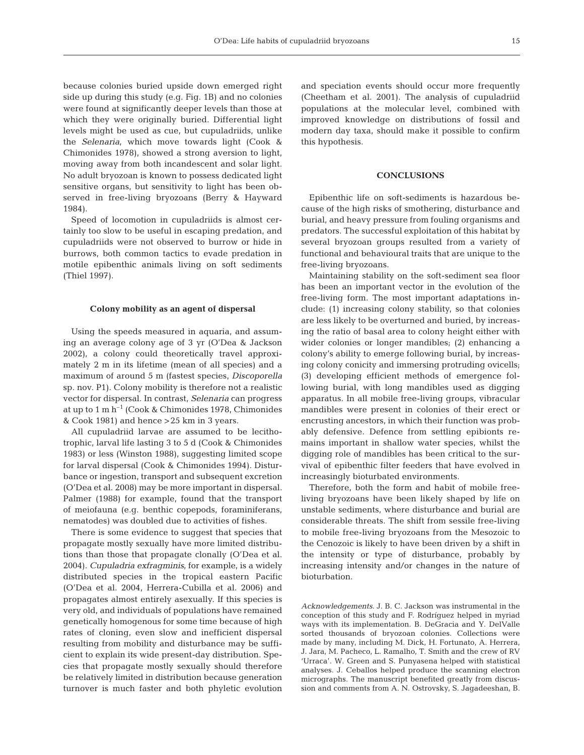because colonies buried upside down emerged right side up during this study (e.g. Fig. 1B) and no colonies were found at significantly deeper levels than those at which they were originally buried. Differential light levels might be used as cue, but cupuladriids, unlike the Selenaria, which move towards light (Cook & Chimonides 1978), showed a strong aversion to light, moving away from both incandescent and solar light. No adult bryozoan is known to possess dedicated light sensitive organs, but sensitivity to light has been observed in free-living bryozoans (Berry & Hayward 1984).

Speed of locomotion in cupuladriids is almost certainly too slow to be useful in escaping predation, and cupuladriids were not observed to burrow or hide in burrows, both common tactics to evade predation in motile epibenthic animals living on soft sediments (Thiel 1997).

# **Colony mobility as an agent of dispersal**

Using the speeds measured in aquaria, and assuming an average colony age of 3 yr (O'Dea & Jackson 2002), a colony could theoretically travel approximately 2 m in its lifetime (mean of all species) and a maximum of around 5 m (fastest species, Discoporella sp. nov. P1). Colony mobility is therefore not a realistic vector for dispersal. In contrast, Selenaria can progress at up to  $1 \text{ m h}^{-1}$  (Cook & Chimonides 1978, Chimonides & Cook 1981) and hence >25 km in 3 years.

All cupuladriid larvae are assumed to be lecithotrophic, larval life lasting 3 to 5 d (Cook & Chimonides 1983) or less (Winston 1988), suggesting limited scope for larval dispersal (Cook & Chimonides 1994). Disturbance or ingestion, transport and subsequent excretion (O'Dea et al. 2008) may be more important in dispersal. Palmer (1988) for example, found that the transport of meiofauna (e.g. benthic copepods, foraminiferans, nematodes) was doubled due to activities of fishes.

There is some evidence to suggest that species that propagate mostly sexually have more limited distributions than those that propagate clonally (O'Dea et al. 2004). Cupuladria exfragminis, for example, is a widely distributed species in the tropical eastern Pacific (O'Dea et al. 2004, Herrera-Cubilla et al. 2006) and propagates almost entirely asexually. If this species is very old, and individuals of populations have remained genetically homogenous for some time because of high rates of cloning, even slow and inefficient dispersal resulting from mobility and disturbance may be sufficient to explain its wide present-day distribution. Species that propagate mostly sexually should therefore be relatively limited in distribution because generation turnover is much faster and both phyletic evolution and speciation events should occur more frequently (Cheetham et al. 2001). The analysis of cupuladriid populations at the molecular level, combined with improved knowledge on distributions of fossil and modern day taxa, should make it possible to confirm this hypothesis.

#### **CONCLUSIONS**

Epibenthic life on soft-sediments is hazardous because of the high risks of smothering, disturbance and burial, and heavy pressure from fouling organisms and predators. The successful exploitation of this habitat by several bryozoan groups resulted from a variety of functional and behavioural traits that are unique to the free-living bryozoans.

Maintaining stability on the soft-sediment sea floor has been an important vector in the evolution of the free-living form. The most important adaptations include: (1) increasing colony stability, so that colonies are less likely to be overturned and buried, by increasing the ratio of basal area to colony height either with wider colonies or longer mandibles; (2) enhancing a colony's ability to emerge following burial, by increasing colony conicity and immersing protruding ovicells; (3) developing efficient methods of emergence following burial, with long mandibles used as digging apparatus. In all mobile free-living groups, vibracular mandibles were present in colonies of their erect or encrusting ancestors, in which their function was probably defensive. Defence from settling epibionts remains important in shallow water species, whilst the digging role of mandibles has been critical to the survival of epibenthic filter feeders that have evolved in increasingly bioturbated environments.

Therefore, both the form and habit of mobile freeliving bryozoans have been likely shaped by life on unstable sediments, where disturbance and burial are considerable threats. The shift from sessile free-living to mobile free-living bryozoans from the Mesozoic to the Cenozoic is likely to have been driven by a shift in the intensity or type of disturbance, probably by increasing intensity and/or changes in the nature of bioturbation.

Acknowledgements. J. B. C. Jackson was instrumental in the conception of this study and F. Rodríguez helped in myriad ways with its implementation. B. DeGracia and Y. DelValle sorted thousands of bryozoan colonies. Collections were made by many, including M. Dick, H. Fortunato, A. Herrera, J. Jara, M. Pacheco, L. Ramalho, T. Smith and the crew of RV 'Urraca'. W. Green and S. Punyasena helped with statistical analyses. J. Ceballos helped produce the scanning electron micrographs. The manuscript benefited greatly from discussion and comments from A. N. Ostrovsky, S. Jagadeeshan, B.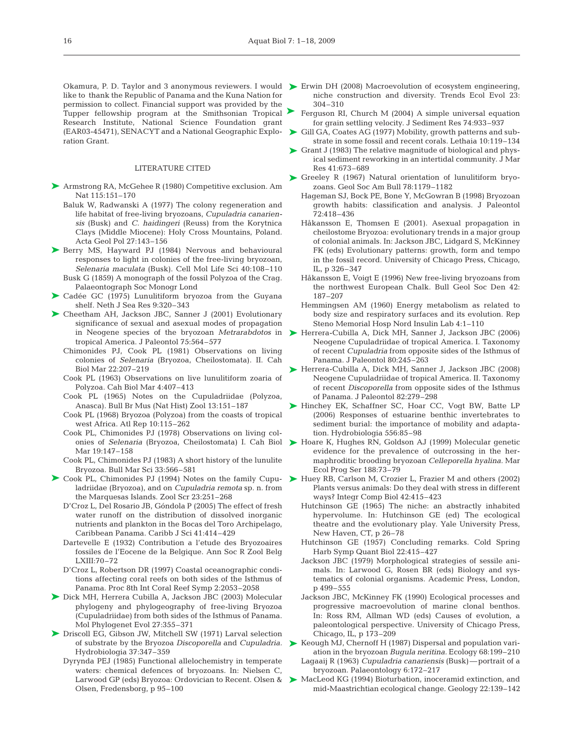➤

like to thank the Republic of Panama and the Kuna Nation for permission to collect. Financial support was provided by the Tupper fellowship program at the Smithsonian Tropical Research Institute, National Science Foundation grant (EAR03-45471), SENACYT and a National Geographic Exploration Grant.

#### LITERATURE CITED

- ▶ Armstrong RA, McGehee R (1980) Competitive exclusion. Am Nat 115:151–170
	- Baluk W, Radwanski A (1977) The colony regeneration and life habitat of free-living bryozoans, Cupuladria canariensis (Busk) and C. haidingeri (Reuss) from the Korytnica Clays (Middle Miocene): Holy Cross Mountains, Poland. Acta Geol Pol 27:143–156
- ▶ Berry MS, Hayward PJ (1984) Nervous and behavioural responses to light in colonies of the free-living bryozoan, Selenaria maculata (Busk). Cell Mol Life Sci 40:108–110 Busk G (1859) A monograph of the fossil Polyzoa of the Crag. Palaeontograph Soc Monogr Lond
- ▶ Cadée GC (1975) Lunulitiform bryozoa from the Guyana shelf. Neth J Sea Res 9:320–343
- ▶ Cheetham AH, Jackson JBC, Sanner J (2001) Evolutionary significance of sexual and asexual modes of propagation in Neogene species of the bryozoan Metrarabdotos in tropical America. J Paleontol 75:564–577
	- Chimonides PJ, Cook PL (1981) Observations on living colonies of Selenaria (Bryozoa, Cheilostomata). II. Cah Biol Mar 22:207–219
	- Cook PL (1963) Observations on live lunulitiform zoaria of Polyzoa. Cah Biol Mar 4:407–413
	- Cook PL (1965) Notes on the Cupuladriidae (Polyzoa, Anasca). Bull Br Mus (Nat Hist) Zool 13:151–187
	- Cook PL (1968) Bryozoa (Polyzoa) from the coasts of tropical west Africa. Atl Rep 10:115–262
	- Cook PL, Chimonides PJ (1978) Observations on living colonies of Selenaria (Bryozoa, Cheilostomata) I. Cah Biol Mar 19:147–158
	- Cook PL, Chimonides PJ (1983) A short history of the lunulite Bryozoa. Bull Mar Sci 33:566–581
- ▶ Cook PL, Chimonides PJ (1994) Notes on the family Cupu- ▶ Huey RB, Carlson M, Crozier L, Frazier M and others (2002) ladriidae (Bryozoa), and on *Cupuladria remota* sp. n. from the Marquesas Islands. Zool Scr 23:251–268
	- D'Croz L, Del Rosario JB, Góndola P (2005) The effect of fresh water runoff on the distribution of dissolved inorganic nutrients and plankton in the Bocas del Toro Archipelago, Caribbean Panama. Caribb J Sci 41:414–429
	- Dartevelle E (1932) Contribution a l'etude des Bryozoaires fossiles de l'Eocene de la Belgique. Ann Soc R Zool Belg LXIII:70–72
	- D'Croz L, Robertson DR (1997) Coastal oceanographic conditions affecting coral reefs on both sides of the Isthmus of Panama. Proc 8th Int Coral Reef Symp 2:2053–2058
- ▶ Dick MH, Herrera Cubilla A, Jackson JBC (2003) Molecular phylogeny and phylogeography of free-living Bryozoa (Cupuladriidae) from both sides of the Isthmus of Panama. Mol Phylogenet Evol 27:355–371
- ▶ Driscoll EG, Gibson JW, Mitchell SW (1971) Larval selection of substrate by the Bryozoa Discoporella and Cupuladria. Hydrobiologia 37:347–359
	- Dyrynda PEJ (1985) Functional allelochemistry in temperate waters: chemical defences of bryozoans. In: Nielsen C, Larwood GP (eds) Bryozoa: Ordovician to Recent. Olsen & Olsen, Fredensborg, p 95–100
- Okamura, P. D. Taylor and 3 anonymous reviewers. I would ► Erwin DH (2008) Macroevolution of ecosystem engineering, niche construction and diversity. Trends Ecol Evol 23: 304–310
	- Ferguson RI, Church M (2004) A simple universal equation for grain settling velocity. J Sediment Res 74:933–937
	- ▶ Gill GA, Coates AG (1977) Mobility, growth patterns and substrate in some fossil and recent corals. Lethaia 10:119–134
	- ► Grant J (1983) The relative magnitude of biological and physical sediment reworking in an intertidal community. J Mar Res 41:673–689
	- ▶ Greeley R (1967) Natural orientation of lunulitiform bryozoans. Geol Soc Am Bull 78:1179–1182
		- Hageman SJ, Bock PE, Bone Y, McGowran B (1998) Bryozoan growth habits: classification and analysis. J Paleontol 72:418–436
		- Håkansson E, Thomsen E (2001). Asexual propagation in cheilostome Bryozoa: evolutionary trends in a major group of colonial animals. In: Jackson JBC, Lidgard S, McKinney FK (eds) Evolutionary patterns: growth, form and tempo in the fossil record. University of Chicago Press, Chicago, IL, p 326–347
		- Håkansson E, Voigt E (1996) New free-living bryozoans from the northwest European Chalk. Bull Geol Soc Den 42: 187–207
		- Hemmingsen AM (1960) Energy metabolism as related to body size and respiratory surfaces and its evolution. Rep Steno Memorial Hosp Nord Insulin Lab 4:1–110
	- ▶ Herrera-Cubilla A, Dick MH, Sanner J, Jackson JBC (2006) Neogene Cupuladriidae of tropical America. I. Taxonomy of recent Cupuladria from opposite sides of the Isthmus of Panama. J Paleontol 80:245–263
	- ▶ Herrera-Cubilla A, Dick MH, Sanner J, Jackson JBC (2008) Neogene Cupuladriidae of tropical America. II. Taxonomy of recent Discoporella from opposite sides of the Isthmus of Panama. J Paleontol 82:279–298
	- ▶ Hinchey EK, Schaffner SC, Hoar CC, Vogt BW, Batte LP (2006) Responses of estuarine benthic invertebrates to sediment burial: the importance of mobility and adaptation. Hydrobiologia 556:85–98
	- ▶ Hoare K, Hughes RN, Goldson AJ (1999) Molecular genetic evidence for the prevalence of outcrossing in the hermaphroditic brooding bryozoan Celleporella hyalina. Mar Ecol Prog Ser 188:73–79
	- Plants versus animals: Do they deal with stress in different ways? Integr Comp Biol 42:415–423
	- Hutchinson GE (1965) The niche: an abstractly inhabited hypervolume. In: Hutchinson GE (ed) The ecological theatre and the evolutionary play. Yale University Press, New Haven, CT, p 26–78
	- Hutchinson GE (1957) Concluding remarks. Cold Spring Harb Symp Quant Biol 22:415–427
	- Jackson JBC (1979) Morphological strategies of sessile animals. In: Larwood G, Rosen BR (eds) Biology and systematics of colonial organisms. Academic Press, London, p 499–555
	- Jackson JBC, McKinney FK (1990) Ecological processes and progressive macroevolution of marine clonal benthos. In: Ross RM, Allman WD (eds) Causes of evolution, a paleontological perspective. University of Chicago Press, Chicago, IL, p 173–209
	- ▶ Keough MJ, Chernoff H (1987) Dispersal and population variation in the bryozoan Bugula neritina. Ecology 68:199–210 Lagaaij R (1963) Cupuladria canariensis (Busk)—portrait of a bryozoan. Palaeontology 6:172–217
	- ▶ MacLeod KG (1994) Bioturbation, inoceramid extinction, and mid-Maastrichtian ecological change. Geology 22:139–142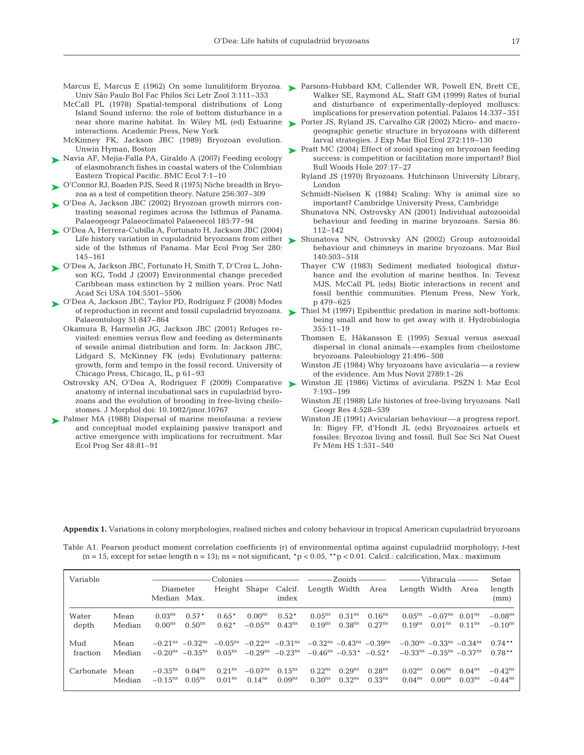- Marcus E, Marcus E (1962) On some lunulitiform Bryozoa. Parsons-Hubbard KM, Callender WR, Powell EN, Brett CE, Univ São Paulo Bol Fac Philos Sci Letr Zool 3:111–353
- McCall PL (1978) Spatial-temporal distributions of Long Island Sound inferno: the role of bottom disturbance in a near shore marine habitat. In: Wiley ML (ed) Estuarine > Porter JS, Ryland JS, Carvalho GR (2002) Micro- and macrointeractions. Academic Press, New York
- McKinney FK, Jackson JBC (1989) Bryozoan evolution. Unwin Hyman, Boston
- ► Navia AF, Mejia-Falla PA, Giraldo A (2007) Feeding ecology of elasmobranch fishes in coastal waters of the Colombian Eastern Tropical Pacific. BMC Ecol 7:1–10
- ► O'Connor RJ, Boaden PJS, Seed R (1975) Niche breadth in Bryozoa as a test of competition theory. Nature 256:307–309
- ► O'Dea A, Jackson JBC (2002) Bryozoan growth mirrors contrasting seasonal regimes across the Isthmus of Panama. Palaeogeogr Palaeoclimatol Palaeoecol 185:77–94
- O'Dea A, Herrera-Cubilla A, Fortunato H, Jackson JBC (2004) ➤ Life history variation in cupuladriid bryozoans from either  $\blacktriangleright$ side of the Isthmus of Panama. Mar Ecol Prog Ser 280: 145–161
- ► O'Dea A, Jackson JBC, Fortunato H, Smith T, D'Croz L, Johnson KG, Todd J (2007) Environmental change preceded Caribbean mass extinction by 2 million years. Proc Natl Acad Sci USA 104:5501–5506
- ► O'Dea A, Jackson JBC, Taylor PD, Rodríguez F (2008) Modes of reproduction in recent and fossil cupuladriid bryozoans. ▶ Palaeontology 51:847–864
	- Okamura B, Harmelin JG, Jackson JBC (2001) Refuges revisited: enemies versus flow and feeding as determinants of sessile animal distribution and form. In: Jackson JBC, Lidgard S, McKinney FK (eds) Evolutionary patterns: growth, form and tempo in the fossil record. University of Chicago Press, Chicago, IL, p 61–93
	- Ostrovsky AN, O'Dea A, Rodriguez F (2009) Comparative anatomy of internal incubational sacs in cupuladriid byrozoans and the evolution of brooding in free-living cheilostomes. J Morphol doi: 10.1002/jmor.10767
- Palmer MA (1988) Dispersal of marine meiofauna: a review and conceptual model explaining passive transport and active emergence with implications for recruitment. Mar Ecol Prog Ser 48:81–91 ➤
- Walker SE, Raymond AL, Staff GM (1999) Rates of burial and disturbance of experimentally-deployed molluscs: implications for preservation potential. Palaios 14:337–351
- geographic genetic structure in bryozoans with different larval strategies. J Exp Mar Biol Ecol 272:119–130
- ► Pratt MC (2004) Effect of zooid spacing on bryozoan feeding success: is competition or facilitation more important? Biol Bull Woods Hole 207:17–27
	- Ryland JS (1970) Bryozoans. Hutchinson University Library, London
	- Schmidt-Nielsen K (1984) Scaling: Why is animal size so important? Cambridge University Press, Cambridge
	- Shunatova NN, Ostrovsky AN (2001) Individual autozooidal behaviour and feeding in marine bryozoans. Sarsia 86: 112–142
	- Shunatova NN, Ostrovsky AN (2002) Group autozooidal behaviour and chimneys in marine bryozoans. Mar Biol 140:503–518
	- Thayer CW (1983) Sediment mediated biological disturbance and the evolution of marine benthos. In: Tevesz MJS, McCall PL (eds) Biotic interactions in recent and fossil benthic communities. Plenum Press, New York, p 479–625
	- Thiel M (1997) Epibenthic predation in marine soft-bottoms: being small and how to get away with it. Hydrobiologia 355:11–19
	- Thomsen E, Håkansson E (1995) Sexual versus asexual dispersal in clonal animals—examples from cheilostome bryozoans. Paleobiology 21:496–508
	- Winston JE (1984) Why bryozoans have avicularia—a review of the evidence. Am Mus Novit 2789:1–26
	- Winston JE (1986) Victims of avicularia. PSZN I: Mar Ecol 7:193–199
	- Winston JE (1988) Life histories of free-living bryozoans. Natl Geogr Res 4:528–539
	- Winston JE (1991) Avicularian behaviour—a progress report. In: Bigey FP, d'Hondt JL (eds) Bryozoaires actuels et fossiles: Bryozoa living and fossil. Bull Soc Sci Nat Ouest Fr Mém HS 1:531–540

**Appendix 1.** Variations in colony morphologies, realised niches and colony behaviour in tropical American cupuladriid bryozoans

Table A1. Pearson product moment correlation coefficients (r) of environmental optima against cupuladriid morphology; t-test  $(n = 15, except for setae length n = 13)$ ; ns = not significant, \*p < 0.05, \*\*p < 0.01. Calcif.: calcification, Max.: maximum

| Variable  |        |                                         |                    |                                                             |                     |                   |                                                             |                    |                    |              |                                                                   |                    | Setae                 |  |
|-----------|--------|-----------------------------------------|--------------------|-------------------------------------------------------------|---------------------|-------------------|-------------------------------------------------------------|--------------------|--------------------|--------------|-------------------------------------------------------------------|--------------------|-----------------------|--|
|           |        | Diameter                                |                    |                                                             |                     |                   | Height Shape Calcif. Length Width Area                      |                    |                    | Length Width |                                                                   | Area               | length                |  |
|           |        | Median Max.                             |                    |                                                             |                     | index             |                                                             |                    |                    |              |                                                                   |                    | (mm)                  |  |
| Water     | Mean   | 0.03 <sup>ns</sup>                      | $0.57*$            | $0.65*$                                                     | $0.00^{ns}$         | $0.52*$           | $0.05^{ns}$                                                 | 0.31 <sup>ns</sup> | $0.16^{ns}$        | $0.05^{ns}$  | $-0.07^{\text{ns}}$                                               | $0.01^{\text{ns}}$ | $-0.08ns$             |  |
| depth     | Median | $0.00^{ns}$                             | $0.50^{\text{ns}}$ | $0.62*$                                                     | $-0.05^{\text{ns}}$ | $0.43^{ns}$       | $0.19^{ns}$                                                 | 0.38 <sup>ns</sup> | $0.27^{ns}$        | $0.19^{ns}$  | 0.01 <sup>ns</sup>                                                | $0.11^{ns}$        | $-0.10^{\text{ns}}$   |  |
| Mud       | Mean   | $-0.21^{\text{ns}}$ $-0.32^{\text{ns}}$ |                    | $-0.05^{\text{ns}}$ $-0.22^{\text{ns}}$ $-0.31^{\text{ns}}$ |                     |                   | $-0.32^{\text{ns}}$ $-0.43^{\text{ns}}$ $-0.39^{\text{ns}}$ |                    |                    |              | $-0.30^{\text{ns}}$ $-0.33^{\text{ns}}$ $-0.34^{\text{ns}}$       |                    | $0.74**$              |  |
| fraction  | Median | $-0.20^{\text{ns}}$ $-0.35^{\text{ns}}$ |                    | $0.05^{\text{ns}}$                                          |                     | $-0.29ns -0.23ns$ | $-0.46^{\text{ns}}$ $-0.53^*$ $-0.52^*$                     |                    |                    |              | $-0.33$ <sup>ns</sup> $-0.35$ <sup>ns</sup> $-0.37$ <sup>ns</sup> |                    | $0.78**$              |  |
| Carbonate | Mean   | $-0.35^{\text{ns}}$                     | $0.04^{ns}$        | $0.21^{\text{ns}}$                                          | $-0.07^{\text{ns}}$ | $0.15^{ns}$       | $0.22^{ns}$                                                 | $0.29^{ns}$        | 0.28 <sup>ns</sup> | $0.02^{ns}$  | $0.06^{ns}$                                                       | $0.04^{ns}$        | $-0.42$ <sup>ns</sup> |  |
|           | Median | $-0.15$ <sup>ns</sup>                   | $0.05^{ns}$        | $0.01^{ns}$                                                 | $0.14^{ns}$         | $0.09^{ns}$       | 0.30 <sup>ns</sup>                                          | 0.32 <sup>ns</sup> | 0.33 <sup>ns</sup> | $0.04^{ns}$  | $0.00^{ns}$                                                       | 0.03 <sup>ns</sup> | $-0.44^{\text{ns}}$   |  |